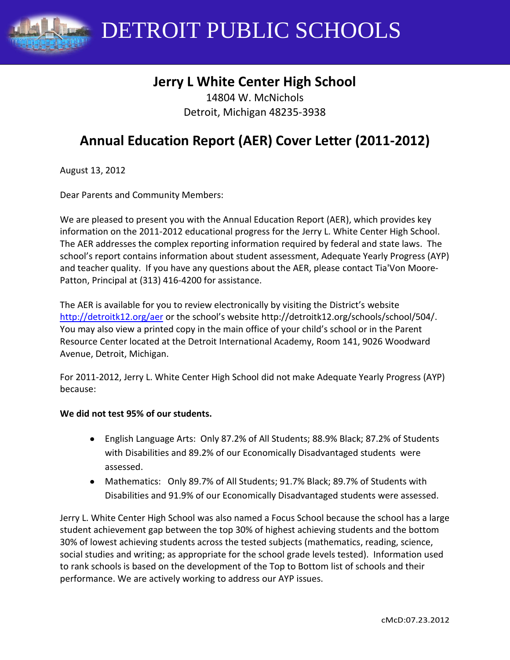DETROIT PUBLIC SCHOOLS

# **Jerry L White Center High School**

14804 W. McNichols Detroit, Michigan 48235-3938

# **Annual Education Report (AER) Cover Letter (2011-2012)**

August 13, 2012

Dear Parents and Community Members:

We are pleased to present you with the Annual Education Report (AER), which provides key information on the 2011-2012 educational progress for the Jerry L. White Center High School. The AER addresses the complex reporting information required by federal and state laws. The school's report contains information about student assessment, Adequate Yearly Progress (AYP) and teacher quality. If you have any questions about the AER, please contact Tia'Von Moore-Patton, Principal at (313) 416-4200 for assistance.

The AER is available for you to review electronically by visiting the District's website <http://detroitk12.org/aer> or the school's website http://detroitk12.org/schools/school/504/. You may also view a printed copy in the main office of your child's school or in the Parent Resource Center located at the Detroit International Academy, Room 141, 9026 Woodward Avenue, Detroit, Michigan.

For 2011-2012, Jerry L. White Center High School did not make Adequate Yearly Progress (AYP) because:

#### **We did not test 95% of our students.**

- English Language Arts: Only 87.2% of All Students; 88.9% Black; 87.2% of Students with Disabilities and 89.2% of our Economically Disadvantaged students were assessed.
- Mathematics: Only 89.7% of All Students; 91.7% Black; 89.7% of Students with Disabilities and 91.9% of our Economically Disadvantaged students were assessed.

Jerry L. White Center High School was also named a Focus School because the school has a large student achievement gap between the top 30% of highest achieving students and the bottom 30% of lowest achieving students across the tested subjects (mathematics, reading, science, social studies and writing; as appropriate for the school grade levels tested). Information used to rank schools is based on the development of the Top to Bottom list of schools and their performance. We are actively working to address our AYP issues.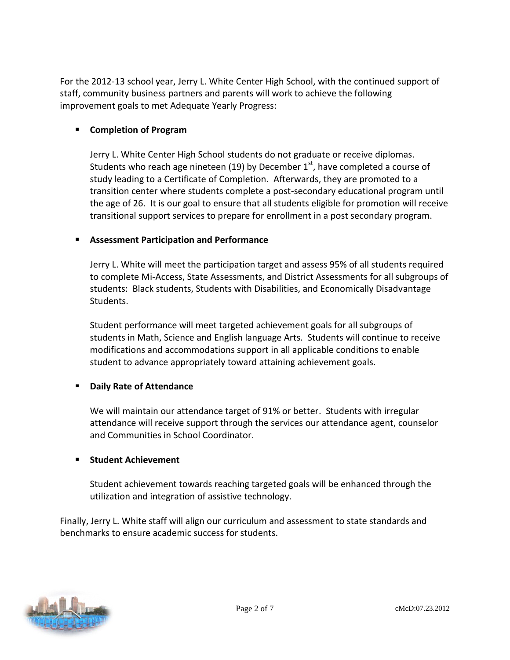For the 2012-13 school year, Jerry L. White Center High School, with the continued support of staff, community business partners and parents will work to achieve the following improvement goals to met Adequate Yearly Progress:

### **Completion of Program**

Jerry L. White Center High School students do not graduate or receive diplomas. Students who reach age nineteen (19) by December  $1<sup>st</sup>$ , have completed a course of study leading to a Certificate of Completion. Afterwards, they are promoted to a transition center where students complete a post-secondary educational program until the age of 26. It is our goal to ensure that all students eligible for promotion will receive transitional support services to prepare for enrollment in a post secondary program.

#### **Assessment Participation and Performance**

Jerry L. White will meet the participation target and assess 95% of all students required to complete Mi-Access, State Assessments, and District Assessments for all subgroups of students: Black students, Students with Disabilities, and Economically Disadvantage Students.

Student performance will meet targeted achievement goals for all subgroups of students in Math, Science and English language Arts. Students will continue to receive modifications and accommodations support in all applicable conditions to enable student to advance appropriately toward attaining achievement goals.

#### **Daily Rate of Attendance**

We will maintain our attendance target of 91% or better. Students with irregular attendance will receive support through the services our attendance agent, counselor and Communities in School Coordinator.

#### **Student Achievement**

Student achievement towards reaching targeted goals will be enhanced through the utilization and integration of assistive technology.

Finally, Jerry L. White staff will align our curriculum and assessment to state standards and benchmarks to ensure academic success for students.

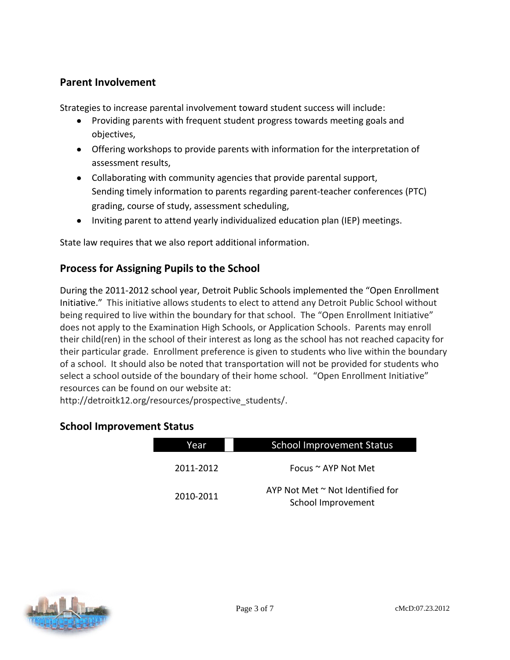### **Parent Involvement**

Strategies to increase parental involvement toward student success will include:

- Providing parents with frequent student progress towards meeting goals and objectives,
- Offering workshops to provide parents with information for the interpretation of assessment results,
- Collaborating with community agencies that provide parental support, Sending timely information to parents regarding parent-teacher conferences (PTC) grading, course of study, assessment scheduling,
- Inviting parent to attend yearly individualized education plan (IEP) meetings.

State law requires that we also report additional information.

## **Process for Assigning Pupils to the School**

During the 2011-2012 school year, Detroit Public Schools implemented the "Open Enrollment Initiative." This initiative allows students to elect to attend any Detroit Public School without being required to live within the boundary for that school. The "Open Enrollment Initiative" does not apply to the Examination High Schools, or Application Schools. Parents may enroll their child(ren) in the school of their interest as long as the school has not reached capacity for their particular grade. Enrollment preference is given to students who live within the boundary of a school. It should also be noted that transportation will not be provided for students who select a school outside of the boundary of their home school. "Open Enrollment Initiative" resources can be found on our website at:

http://detroitk12.org/resources/prospective\_students/.

### **School Improvement Status**

| Year      | <b>School Improvement Status</b>                            |
|-----------|-------------------------------------------------------------|
| 2011-2012 | Focus $\sim$ AYP Not Met                                    |
| 2010-2011 | AYP Not Met $\sim$ Not Identified for<br>School Improvement |

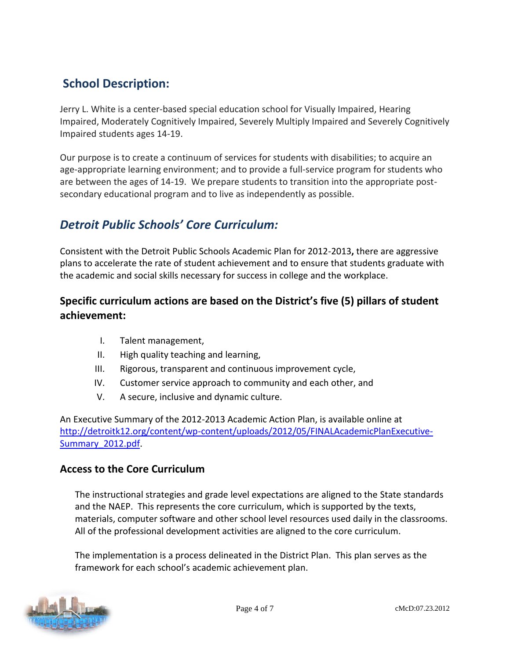# **School Description:**

Jerry L. White is a center-based special education school for Visually Impaired, Hearing Impaired, Moderately Cognitively Impaired, Severely Multiply Impaired and Severely Cognitively Impaired students ages 14-19.

Our purpose is to create a continuum of services for students with disabilities; to acquire an age-appropriate learning environment; and to provide a full-service program for students who are between the ages of 14-19. We prepare students to transition into the appropriate postsecondary educational program and to live as independently as possible.

# *Detroit Public Schools' Core Curriculum:*

Consistent with the Detroit Public Schools Academic Plan for 2012-2013**,** there are aggressive plans to accelerate the rate of student achievement and to ensure that students graduate with the academic and social skills necessary for success in college and the workplace.

# **Specific curriculum actions are based on the District's five (5) pillars of student achievement:**

- I. Talent management,
- II. High quality teaching and learning,
- III. Rigorous, transparent and continuous improvement cycle,
- IV. Customer service approach to community and each other, and
- V. A secure, inclusive and dynamic culture.

An Executive Summary of the 2012-2013 Academic Action Plan, is available online at [http://detroitk12.org/content/wp-content/uploads/2012/05/FINALAcademicPlanExecutive-](http://detroitk12.org/content/wp-content/uploads/2012/05/FINALAcademicPlanExecutive-Summary_2012.pdf)[Summary\\_2012.pdf](http://detroitk12.org/content/wp-content/uploads/2012/05/FINALAcademicPlanExecutive-Summary_2012.pdf).

## **Access to the Core Curriculum**

The instructional strategies and grade level expectations are aligned to the State standards and the NAEP. This represents the core curriculum, which is supported by the texts, materials, computer software and other school level resources used daily in the classrooms. All of the professional development activities are aligned to the core curriculum.

The implementation is a process delineated in the District Plan. This plan serves as the framework for each school's academic achievement plan.

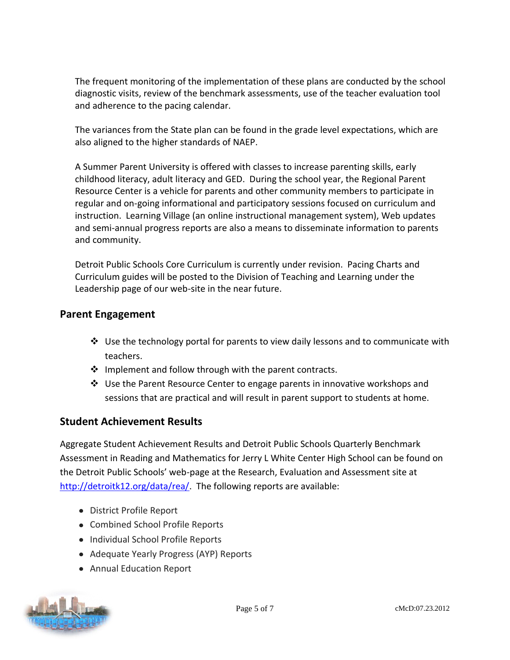The frequent monitoring of the implementation of these plans are conducted by the school diagnostic visits, review of the benchmark assessments, use of the teacher evaluation tool and adherence to the pacing calendar.

The variances from the State plan can be found in the grade level expectations, which are also aligned to the higher standards of NAEP.

A Summer Parent University is offered with classes to increase parenting skills, early childhood literacy, adult literacy and GED. During the school year, the Regional Parent Resource Center is a vehicle for parents and other community members to participate in regular and on-going informational and participatory sessions focused on curriculum and instruction. Learning Village (an online instructional management system), Web updates and semi-annual progress reports are also a means to disseminate information to parents and community.

Detroit Public Schools Core Curriculum is currently under revision. Pacing Charts and Curriculum guides will be posted to the Division of Teaching and Learning under the Leadership page of our web-site in the near future.

### **Parent Engagement**

- $\clubsuit$  Use the technology portal for parents to view daily lessons and to communicate with teachers.
- $\cdot$  Implement and follow through with the parent contracts.
- $\div$  Use the Parent Resource Center to engage parents in innovative workshops and sessions that are practical and will result in parent support to students at home.

## **Student Achievement Results**

Aggregate Student Achievement Results and Detroit Public Schools Quarterly Benchmark Assessment in Reading and Mathematics for Jerry L White Center High School can be found on the Detroit Public Schools' web-page at the Research, Evaluation and Assessment site at [http://detroitk12.org/data/rea/.](http://detroitk12.org/data/rea/) The following reports are available:

- District Profile Report
- Combined School Profile Reports
- Individual School Profile Reports
- Adequate Yearly Progress (AYP) Reports
- Annual Education Report

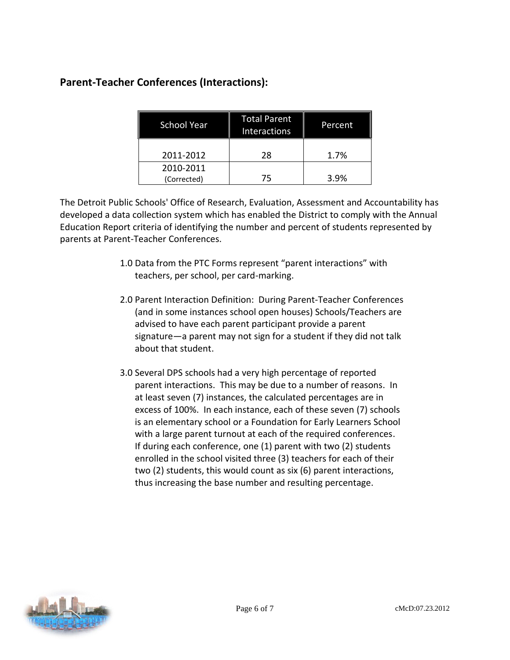## **Parent-Teacher Conferences (Interactions):**

| <b>School Year</b>       | <b>Total Parent</b><br>Interactions | Percent |
|--------------------------|-------------------------------------|---------|
| 2011-2012                | 28                                  | 1.7%    |
| 2010-2011<br>(Corrected) | 75                                  | 3.9%    |

The Detroit Public Schools' Office of Research, Evaluation, Assessment and Accountability has developed a data collection system which has enabled the District to comply with the Annual Education Report criteria of identifying the number and percent of students represented by parents at Parent-Teacher Conferences.

- 1.0 Data from the PTC Forms represent "parent interactions" with teachers, per school, per card-marking.
- 2.0 Parent Interaction Definition: During Parent-Teacher Conferences (and in some instances school open houses) Schools/Teachers are advised to have each parent participant provide a parent signature—a parent may not sign for a student if they did not talk about that student.
- 3.0 Several DPS schools had a very high percentage of reported parent interactions. This may be due to a number of reasons. In at least seven (7) instances, the calculated percentages are in excess of 100%. In each instance, each of these seven (7) schools is an elementary school or a Foundation for Early Learners School with a large parent turnout at each of the required conferences. If during each conference, one (1) parent with two (2) students enrolled in the school visited three (3) teachers for each of their two (2) students, this would count as six (6) parent interactions, thus increasing the base number and resulting percentage.